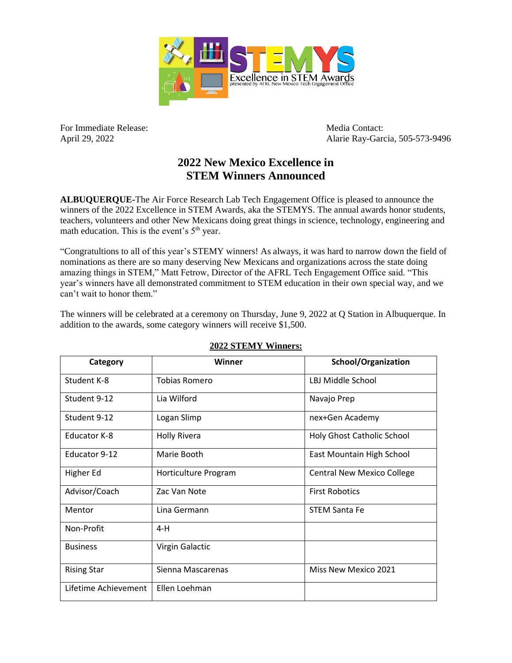

For Immediate Release: Media Contact:

April 29, 2022 Alarie Ray-Garcia, 505-573-9496

## **2022 New Mexico Excellence in STEM Winners Announced**

**ALBUQUERQUE-**The Air Force Research Lab Tech Engagement Office is pleased to announce the winners of the 2022 Excellence in STEM Awards, aka the STEMYS. The annual awards honor students, teachers, volunteers and other New Mexicans doing great things in science, technology, engineering and math education. This is the event's  $5<sup>th</sup>$  year.

"Congratultions to all of this year's STEMY winners! As always, it was hard to narrow down the field of nominations as there are so many deserving New Mexicans and organizations across the state doing amazing things in STEM," Matt Fetrow, Director of the AFRL Tech Engagement Office said. "This year's winners have all demonstrated commitment to STEM education in their own special way, and we can't wait to honor them."

The winners will be celebrated at a ceremony on Thursday, June 9, 2022 at Q Station in Albuquerque. In addition to the awards, some category winners will receive \$1,500.

| Category             | Winner               | <b>School/Organization</b>        |
|----------------------|----------------------|-----------------------------------|
| Student K-8          | Tobias Romero        | LBJ Middle School                 |
| Student 9-12         | Lia Wilford          | Navajo Prep                       |
| Student 9-12         | Logan Slimp          | nex+Gen Academy                   |
| <b>Educator K-8</b>  | <b>Holly Rivera</b>  | Holy Ghost Catholic School        |
| Educator 9-12        | Marie Booth          | East Mountain High School         |
| Higher Ed            | Horticulture Program | <b>Central New Mexico College</b> |
| Advisor/Coach        | Zac Van Note         | <b>First Robotics</b>             |
| Mentor               | Lina Germann         | <b>STEM Santa Fe</b>              |
| Non-Profit           | $4-H$                |                                   |
| <b>Business</b>      | Virgin Galactic      |                                   |
| <b>Rising Star</b>   | Sienna Mascarenas    | Miss New Mexico 2021              |
| Lifetime Achievement | Ellen Loehman        |                                   |

## **2022 STEMY Winners:**